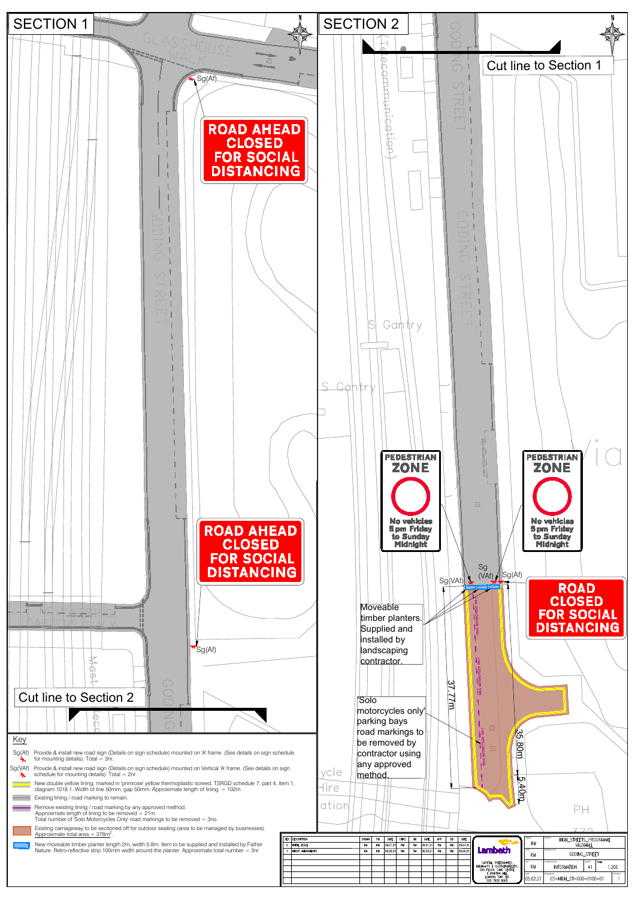

- 
- -
	-
	-
	-
	-